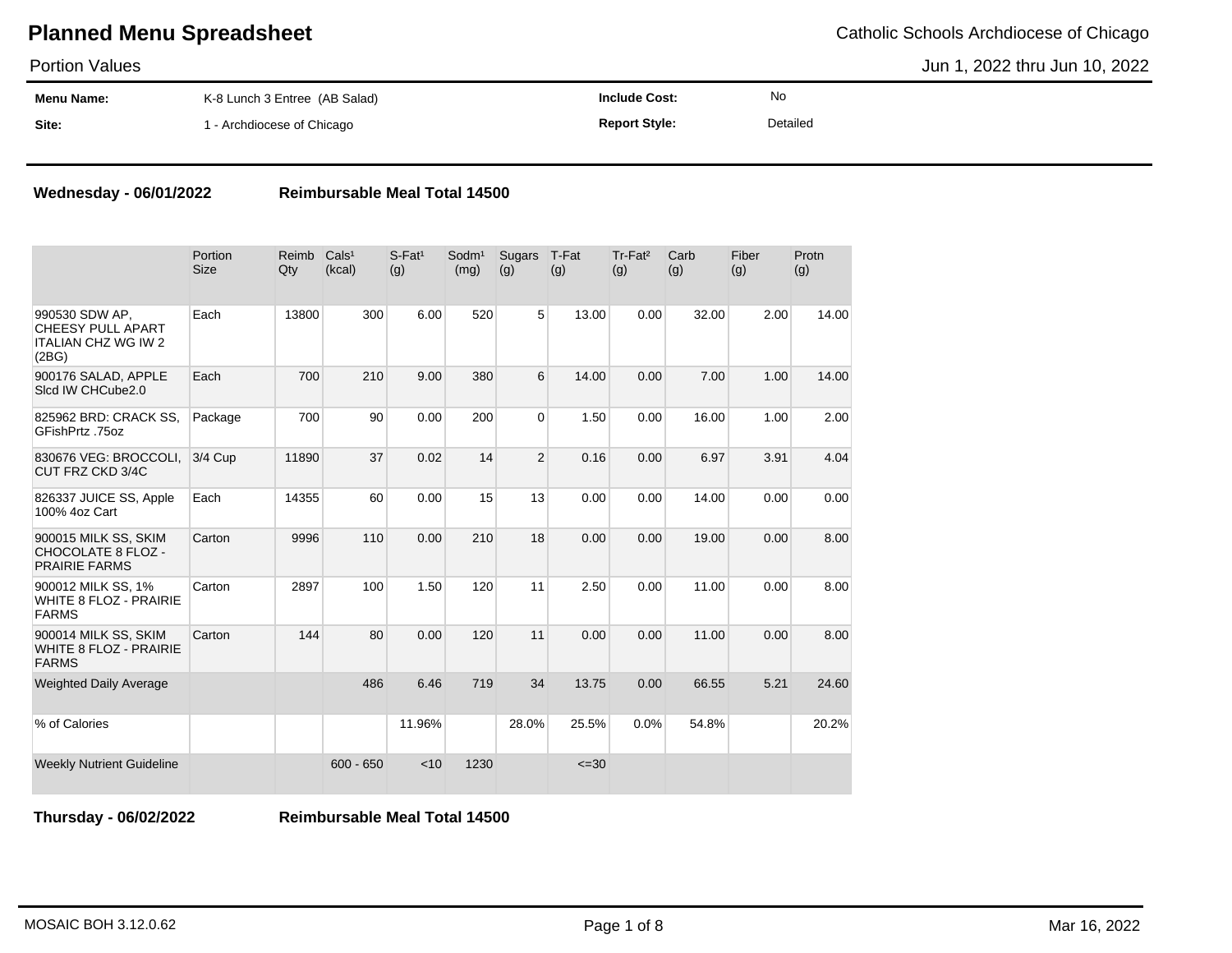Portion Values

Jun 1, 2022 thru Jun 10, 2022

| <b>Menu Name:</b> | K-8 Lunch 3 Entree (AB Salad) | Include Cost:        | No       |
|-------------------|-------------------------------|----------------------|----------|
| Site:             | - Archdiocese of Chicago      | <b>Report Style:</b> | Detailed |

#### **Wednesday - 06/01/2022 Reimbursable Meal Total 14500**

|                                                                                   | Portion<br><b>Size</b> | Reimb<br>Qty | Cals <sup>1</sup><br>(kcal) | $S$ -Fat <sup>1</sup><br>(g) | Sodm <sup>1</sup><br>(mg) | Sugars<br>(g)  | T-Fat<br>(g) | Tr-Fat <sup>2</sup><br>(g) | Carb<br>(g) | Fiber<br>(g) | Protn<br>(g) |
|-----------------------------------------------------------------------------------|------------------------|--------------|-----------------------------|------------------------------|---------------------------|----------------|--------------|----------------------------|-------------|--------------|--------------|
| 990530 SDW AP.<br><b>CHEESY PULL APART</b><br><b>ITALIAN CHZ WG IW 2</b><br>(2BG) | Each                   | 13800        | 300                         | 6.00                         | 520                       | 5 <sup>1</sup> | 13.00        | 0.00                       | 32.00       | 2.00         | 14.00        |
| 900176 SALAD, APPLE<br>Slcd IW CHCube2.0                                          | Each                   | 700          | 210                         | 9.00                         | 380                       | 6              | 14.00        | 0.00                       | 7.00        | 1.00         | 14.00        |
| 825962 BRD: CRACK SS,<br>GFishPrtz .75oz                                          | Package                | 700          | 90                          | 0.00                         | 200                       | $\Omega$       | 1.50         | 0.00                       | 16.00       | 1.00         | 2.00         |
| 830676 VEG: BROCCOLI,<br>CUT FRZ CKD 3/4C                                         | $3/4$ Cup              | 11890        | 37                          | 0.02                         | 14                        | $\overline{2}$ | 0.16         | 0.00                       | 6.97        | 3.91         | 4.04         |
| 826337 JUICE SS, Apple<br>100% 4oz Cart                                           | Each                   | 14355        | 60                          | 0.00                         | 15                        | 13             | 0.00         | 0.00                       | 14.00       | 0.00         | 0.00         |
| 900015 MILK SS, SKIM<br>CHOCOLATE 8 FLOZ -<br><b>PRAIRIE FARMS</b>                | Carton                 | 9996         | 110                         | 0.00                         | 210                       | 18             | 0.00         | 0.00                       | 19.00       | 0.00         | 8.00         |
| 900012 MILK SS, 1%<br><b>WHITE 8 FLOZ - PRAIRIE</b><br><b>FARMS</b>               | Carton                 | 2897         | 100                         | 1.50                         | 120                       | 11             | 2.50         | 0.00                       | 11.00       | 0.00         | 8.00         |
| 900014 MILK SS, SKIM<br><b>WHITE 8 FLOZ - PRAIRIE</b><br><b>FARMS</b>             | Carton                 | 144          | 80                          | 0.00                         | 120                       | 11             | 0.00         | 0.00                       | 11.00       | 0.00         | 8.00         |
| <b>Weighted Daily Average</b>                                                     |                        |              | 486                         | 6.46                         | 719                       | 34             | 13.75        | 0.00                       | 66.55       | 5.21         | 24.60        |
| % of Calories                                                                     |                        |              |                             | 11.96%                       |                           | 28.0%          | 25.5%        | 0.0%                       | 54.8%       |              | 20.2%        |
| <b>Weekly Nutrient Guideline</b>                                                  |                        |              | $600 - 650$                 | < 10                         | 1230                      |                | $\leq 30$    |                            |             |              |              |

**Thursday - 06/02/2022 Reimbursable Meal Total 14500**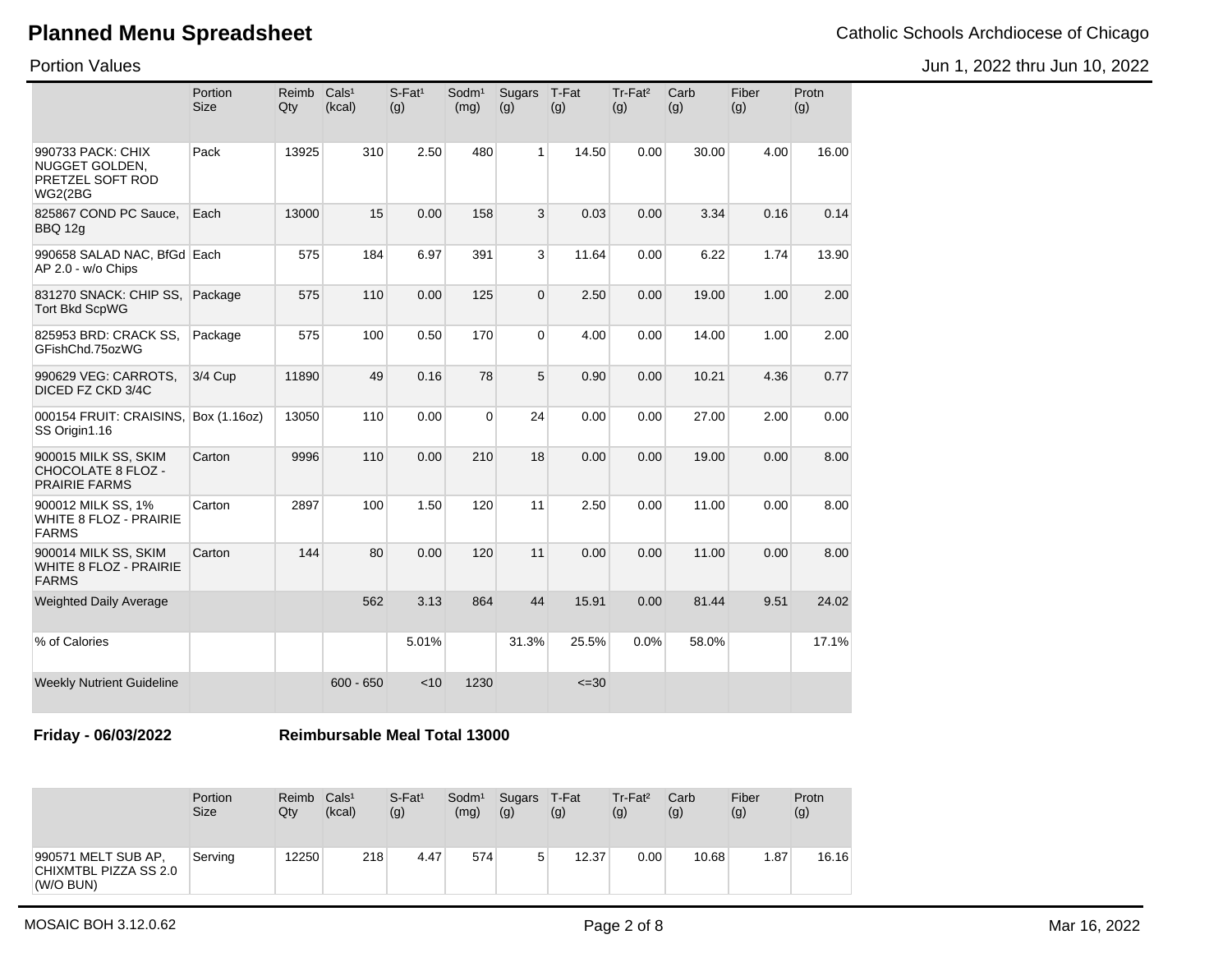Jun 1, 2022 thru Jun 10, 2022

Portion Values

|                                                                           | Portion<br><b>Size</b> | Reimb<br>Qty | Cals <sup>1</sup><br>(kcal) | $S$ -Fat <sup>1</sup><br>(g) | Sodm <sup>1</sup><br>(mg) | <b>Sugars</b><br>(g) | T-Fat<br>(g) | Tr-Fat <sup>2</sup><br>(g) | Carb<br>(g) | Fiber<br>(g) | Protn<br>(g) |
|---------------------------------------------------------------------------|------------------------|--------------|-----------------------------|------------------------------|---------------------------|----------------------|--------------|----------------------------|-------------|--------------|--------------|
| 990733 PACK: CHIX<br>NUGGET GOLDEN,<br>PRETZEL SOFT ROD<br><b>WG2(2BG</b> | Pack                   | 13925        | 310                         | 2.50                         | 480                       | 1                    | 14.50        | 0.00                       | 30.00       | 4.00         | 16.00        |
| 825867 COND PC Sauce.<br>BBQ 12g                                          | Each                   | 13000        | 15                          | 0.00                         | 158                       | 3                    | 0.03         | 0.00                       | 3.34        | 0.16         | 0.14         |
| 990658 SALAD NAC, BfGd Each<br>AP 2.0 - w/o Chips                         |                        | 575          | 184                         | 6.97                         | 391                       | 3                    | 11.64        | 0.00                       | 6.22        | 1.74         | 13.90        |
| 831270 SNACK: CHIP SS,<br><b>Tort Bkd ScpWG</b>                           | Package                | 575          | 110                         | 0.00                         | 125                       | $\Omega$             | 2.50         | 0.00                       | 19.00       | 1.00         | 2.00         |
| 825953 BRD: CRACK SS,<br>GFishChd.75ozWG                                  | Package                | 575          | 100                         | 0.50                         | 170                       | $\Omega$             | 4.00         | 0.00                       | 14.00       | 1.00         | 2.00         |
| 990629 VEG: CARROTS,<br>DICED FZ CKD 3/4C                                 | 3/4 Cup                | 11890        | 49                          | 0.16                         | 78                        | 5                    | 0.90         | 0.00                       | 10.21       | 4.36         | 0.77         |
| 000154 FRUIT: CRAISINS,<br>SS Origin1.16                                  | Box (1.16oz)           | 13050        | 110                         | 0.00                         | $\mathbf 0$               | 24                   | 0.00         | 0.00                       | 27.00       | 2.00         | 0.00         |
| 900015 MILK SS, SKIM<br>CHOCOLATE 8 FLOZ -<br><b>PRAIRIE FARMS</b>        | Carton                 | 9996         | 110                         | 0.00                         | 210                       | 18                   | 0.00         | 0.00                       | 19.00       | 0.00         | 8.00         |
| 900012 MILK SS, 1%<br><b>WHITE 8 FLOZ - PRAIRIE</b><br><b>FARMS</b>       | Carton                 | 2897         | 100                         | 1.50                         | 120                       | 11                   | 2.50         | 0.00                       | 11.00       | 0.00         | 8.00         |
| 900014 MILK SS, SKIM<br><b>WHITE 8 FLOZ - PRAIRIE</b><br><b>FARMS</b>     | Carton                 | 144          | 80                          | 0.00                         | 120                       | 11                   | 0.00         | 0.00                       | 11.00       | 0.00         | 8.00         |
| <b>Weighted Daily Average</b>                                             |                        |              | 562                         | 3.13                         | 864                       | 44                   | 15.91        | 0.00                       | 81.44       | 9.51         | 24.02        |
| % of Calories                                                             |                        |              |                             | 5.01%                        |                           | 31.3%                | 25.5%        | 0.0%                       | 58.0%       |              | 17.1%        |
| <b>Weekly Nutrient Guideline</b>                                          |                        |              | $600 - 650$                 | < 10                         | 1230                      |                      | $\leq 30$    |                            |             |              |              |

**Friday - 06/03/2022 Reimbursable Meal Total 13000**

|                                                           | Portion<br><b>Size</b> | Reimb<br>Qty | Cals <sup>1</sup><br>(kcal) | $S$ -Fat <sup>1</sup><br>(g) | Sodm <sup>1</sup><br>(mg) | Sugars T-Fat<br>(g) | (g)   | $Tr-Fat2$<br>(g) | Carb<br>(g) | Fiber<br>(g) | Protn<br>(g) |
|-----------------------------------------------------------|------------------------|--------------|-----------------------------|------------------------------|---------------------------|---------------------|-------|------------------|-------------|--------------|--------------|
| 990571 MELT SUB AP.<br>CHIXMTBL PIZZA SS 2.0<br>(W/O BUN) | Servina                | 12250        | 218                         | 4.47                         | 574                       | 5                   | 12.37 | 0.00             | 10.68       | 1.87         | 16.16        |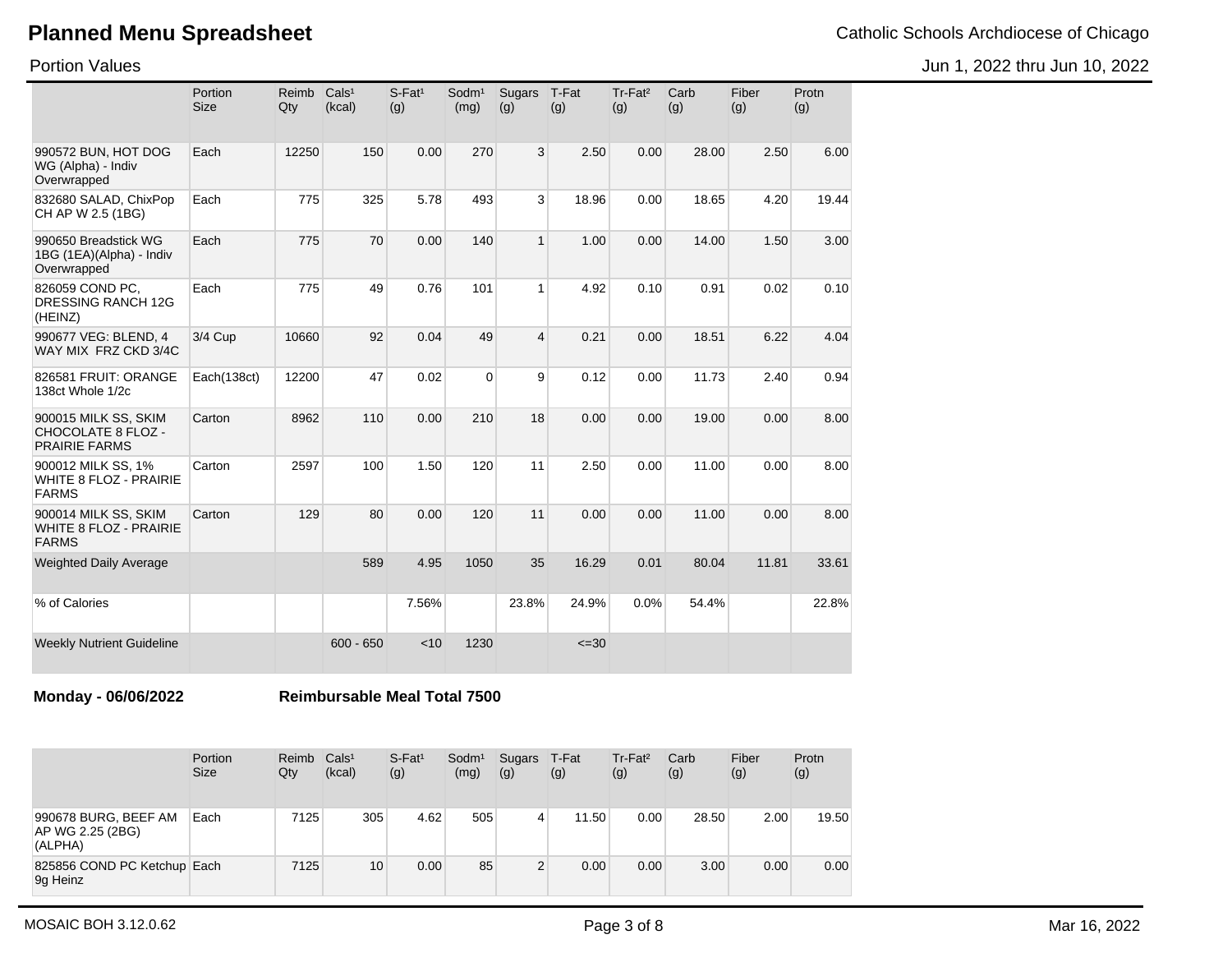Jun 1, 2022 thru Jun 10, 2022

Portion Values

|                                                                 | Portion<br><b>Size</b> | Reimb<br>Qty | Cals <sup>1</sup><br>(kcal) | $S$ -Fat <sup>1</sup><br>(g) | Sodm <sup>1</sup><br>(mg) | <b>Sugars</b><br>(g) | T-Fat<br>(g) | Tr-Fat <sup>2</sup><br>(g) | Carb<br>(g) | Fiber<br>(g) | Protn<br>(g) |
|-----------------------------------------------------------------|------------------------|--------------|-----------------------------|------------------------------|---------------------------|----------------------|--------------|----------------------------|-------------|--------------|--------------|
| 990572 BUN, HOT DOG<br>WG (Alpha) - Indiv<br>Overwrapped        | Each                   | 12250        | 150                         | 0.00                         | 270                       | 3                    | 2.50         | 0.00                       | 28.00       | 2.50         | 6.00         |
| 832680 SALAD, ChixPop<br>CH AP W 2.5 (1BG)                      | Each                   | 775          | 325                         | 5.78                         | 493                       | 3                    | 18.96        | 0.00                       | 18.65       | 4.20         | 19.44        |
| 990650 Breadstick WG<br>1BG (1EA)(Alpha) - Indiv<br>Overwrapped | Each                   | 775          | 70                          | 0.00                         | 140                       | 1                    | 1.00         | 0.00                       | 14.00       | 1.50         | 3.00         |
| 826059 COND PC.<br>DRESSING RANCH 12G<br>(HEINZ)                | Each                   | 775          | 49                          | 0.76                         | 101                       | 1                    | 4.92         | 0.10                       | 0.91        | 0.02         | 0.10         |
| 990677 VEG: BLEND. 4<br>WAY MIX FRZ CKD 3/4C                    | 3/4 Cup                | 10660        | 92                          | 0.04                         | 49                        | 4                    | 0.21         | 0.00                       | 18.51       | 6.22         | 4.04         |
| 826581 FRUIT: ORANGE<br>138ct Whole 1/2c                        | Each(138ct)            | 12200        | 47                          | 0.02                         | $\mathbf 0$               | 9                    | 0.12         | 0.00                       | 11.73       | 2.40         | 0.94         |
| 900015 MILK SS, SKIM<br>CHOCOLATE 8 FLOZ -<br>PRAIRIE FARMS     | Carton                 | 8962         | 110                         | 0.00                         | 210                       | 18                   | 0.00         | 0.00                       | 19.00       | 0.00         | 8.00         |
| 900012 MILK SS. 1%<br>WHITE 8 FLOZ - PRAIRIE<br><b>FARMS</b>    | Carton                 | 2597         | 100                         | 1.50                         | 120                       | 11                   | 2.50         | 0.00                       | 11.00       | 0.00         | 8.00         |
| 900014 MILK SS, SKIM<br>WHITE 8 FLOZ - PRAIRIE<br><b>FARMS</b>  | Carton                 | 129          | 80                          | 0.00                         | 120                       | 11                   | 0.00         | 0.00                       | 11.00       | 0.00         | 8.00         |
| <b>Weighted Daily Average</b>                                   |                        |              | 589                         | 4.95                         | 1050                      | 35                   | 16.29        | 0.01                       | 80.04       | 11.81        | 33.61        |
| % of Calories                                                   |                        |              |                             | 7.56%                        |                           | 23.8%                | 24.9%        | 0.0%                       | 54.4%       |              | 22.8%        |
| Weekly Nutrient Guideline                                       |                        |              | $600 - 650$                 | < 10                         | 1230                      |                      | $\leq 30$    |                            |             |              |              |

**Monday - 06/06/2022 Reimbursable Meal Total 7500**

|                                                     | Portion<br><b>Size</b> | Reimb<br>Qty | Cals <sup>1</sup><br>(kcal) | $S$ -Fat <sup>1</sup><br>(g) | Sodm <sup>1</sup><br>(mg) | Sugars<br>(g) | T-Fat<br>(g) | Tr-Fat <sup>2</sup><br>(g) | Carb<br>(g) | Fiber<br>(g) | Protn<br>(g) |
|-----------------------------------------------------|------------------------|--------------|-----------------------------|------------------------------|---------------------------|---------------|--------------|----------------------------|-------------|--------------|--------------|
| 990678 BURG, BEEF AM<br>AP WG 2.25 (2BG)<br>(ALPHA) | Each                   | 7125         | 305                         | 4.62                         | 505                       | 4             | 11.50        | 0.00                       | 28.50       | 2.00         | 19.50        |
| 825856 COND PC Ketchup Each<br>9g Heinz             |                        | 7125         | 10                          | 0.00                         | 85                        | 2             | 0.00         | 0.00                       | 3.00        | 0.00         | 0.00         |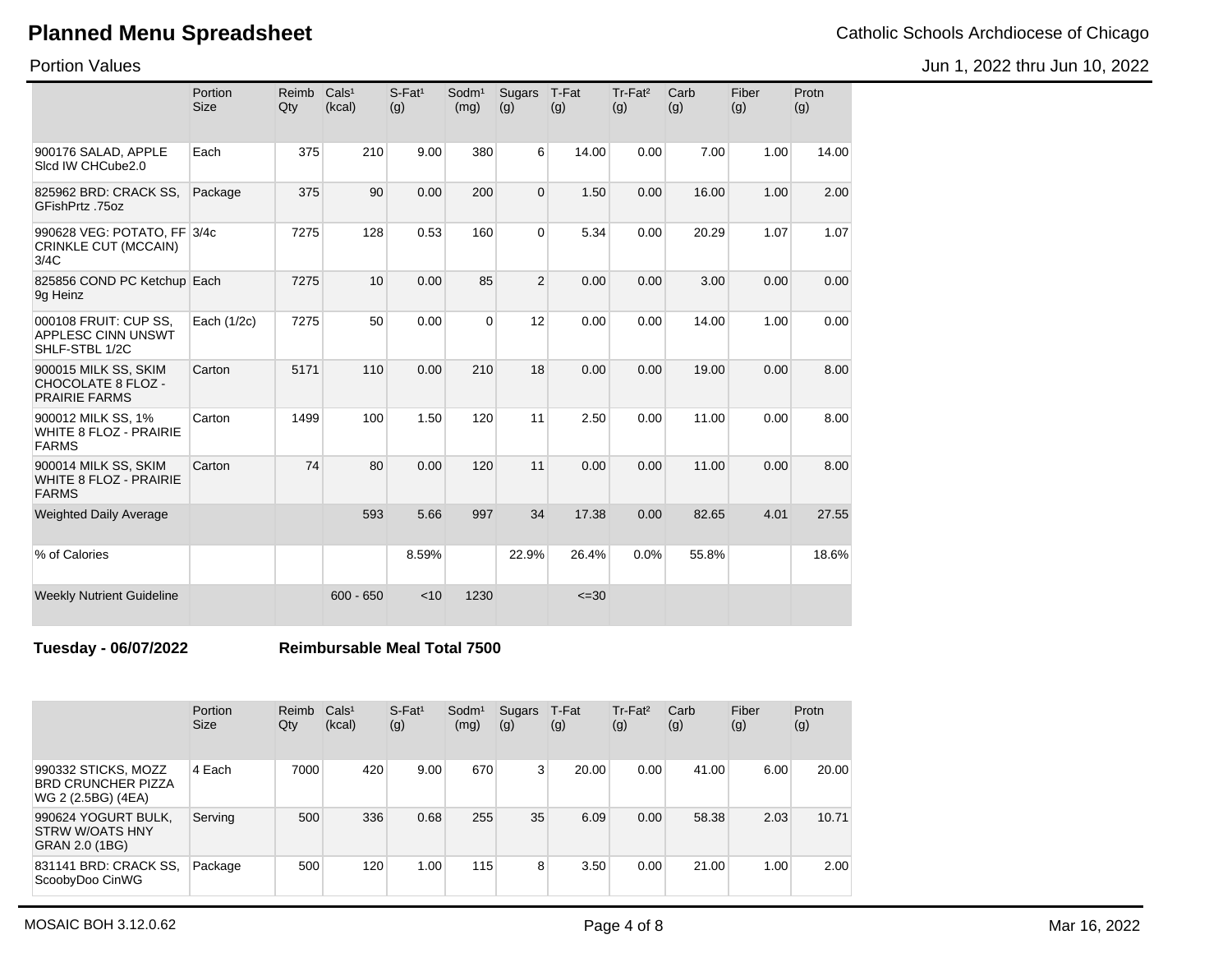Jun 1, 2022 thru Jun 10, 2022

Portion Values

|                                                                       | Portion<br><b>Size</b> | Reimb<br>Qty | Cals <sup>1</sup><br>(kcal) | $S$ -Fat <sup>1</sup><br>(g) | Sodm <sup>1</sup><br>(mg) | Sugars<br>(g)  | T-Fat<br>(g) | $Tr-Fat2$<br>(g) | Carb<br>(g) | Fiber<br>(g) | Protn<br>(g) |
|-----------------------------------------------------------------------|------------------------|--------------|-----------------------------|------------------------------|---------------------------|----------------|--------------|------------------|-------------|--------------|--------------|
| 900176 SALAD, APPLE<br>Sicd IW CHCube2.0                              | Each                   | 375          | 210                         | 9.00                         | 380                       | 6              | 14.00        | 0.00             | 7.00        | 1.00         | 14.00        |
| 825962 BRD: CRACK SS,<br>GFishPrtz .75oz                              | Package                | 375          | 90                          | 0.00                         | 200                       | $\mathbf 0$    | 1.50         | 0.00             | 16.00       | 1.00         | 2.00         |
| 990628 VEG: POTATO, FF 3/4c<br>CRINKLE CUT (MCCAIN)<br>3/4C           |                        | 7275         | 128                         | 0.53                         | 160                       | $\mathbf 0$    | 5.34         | 0.00             | 20.29       | 1.07         | 1.07         |
| 825856 COND PC Ketchup Each<br>9g Heinz                               |                        | 7275         | 10                          | 0.00                         | 85                        | $\overline{2}$ | 0.00         | 0.00             | 3.00        | 0.00         | 0.00         |
| 000108 FRUIT: CUP SS,<br><b>APPLESC CINN UNSWT</b><br>SHLF-STBL 1/2C  | Each (1/2c)            | 7275         | 50                          | 0.00                         | $\Omega$                  | 12             | 0.00         | 0.00             | 14.00       | 1.00         | 0.00         |
| 900015 MILK SS, SKIM<br>CHOCOLATE 8 FLOZ -<br><b>PRAIRIE FARMS</b>    | Carton                 | 5171         | 110                         | 0.00                         | 210                       | 18             | 0.00         | 0.00             | 19.00       | 0.00         | 8.00         |
| 900012 MILK SS, 1%<br>WHITE 8 FLOZ - PRAIRIE<br><b>FARMS</b>          | Carton                 | 1499         | 100                         | 1.50                         | 120                       | 11             | 2.50         | 0.00             | 11.00       | 0.00         | 8.00         |
| 900014 MILK SS, SKIM<br><b>WHITE 8 FLOZ - PRAIRIE</b><br><b>FARMS</b> | Carton                 | 74           | 80                          | 0.00                         | 120                       | 11             | 0.00         | 0.00             | 11.00       | 0.00         | 8.00         |
| <b>Weighted Daily Average</b>                                         |                        |              | 593                         | 5.66                         | 997                       | 34             | 17.38        | 0.00             | 82.65       | 4.01         | 27.55        |
| % of Calories                                                         |                        |              |                             | 8.59%                        |                           | 22.9%          | 26.4%        | 0.0%             | 55.8%       |              | 18.6%        |
| <b>Weekly Nutrient Guideline</b>                                      |                        |              | $600 - 650$                 | < 10                         | 1230                      |                | $\leq 30$    |                  |             |              |              |

**Tuesday - 06/07/2022 Reimbursable Meal Total 7500**

|                                                                        | <b>Portion</b><br><b>Size</b> | Reimb<br>Qty | Cals <sup>1</sup><br>(kcal) | $S$ -Fat <sup>1</sup><br>(g) | Sodm <sup>1</sup><br>(mg) | Sugars<br>(g)  | T-Fat<br>(g) | Tr-Fat <sup>2</sup><br>(g) | Carb<br>(g) | Fiber<br>(g)      | Protn<br>(g) |
|------------------------------------------------------------------------|-------------------------------|--------------|-----------------------------|------------------------------|---------------------------|----------------|--------------|----------------------------|-------------|-------------------|--------------|
| 990332 STICKS, MOZZ<br><b>BRD CRUNCHER PIZZA</b><br>WG 2 (2.5BG) (4EA) | 4 Each                        | 7000         | 420                         | 9.00                         | 670                       | 3 <sup>1</sup> | 20.00        | 0.00                       | 41.00       | 6.00              | 20.00        |
| 990624 YOGURT BULK,<br>STRW W/OATS HNY<br>GRAN 2.0 (1BG)               | Serving                       | 500          | 336                         | 0.68                         | 255                       | 35             | 6.09         | 0.00                       | 58.38       | 2.03              | 10.71        |
| 831141 BRD: CRACK SS,<br>ScoobyDoo CinWG                               | Package                       | 500          | 120                         | 1.00                         | 115                       | 8              | 3.50         | 0.00                       | 21.00       | 1.00 <sub>1</sub> | 2.00         |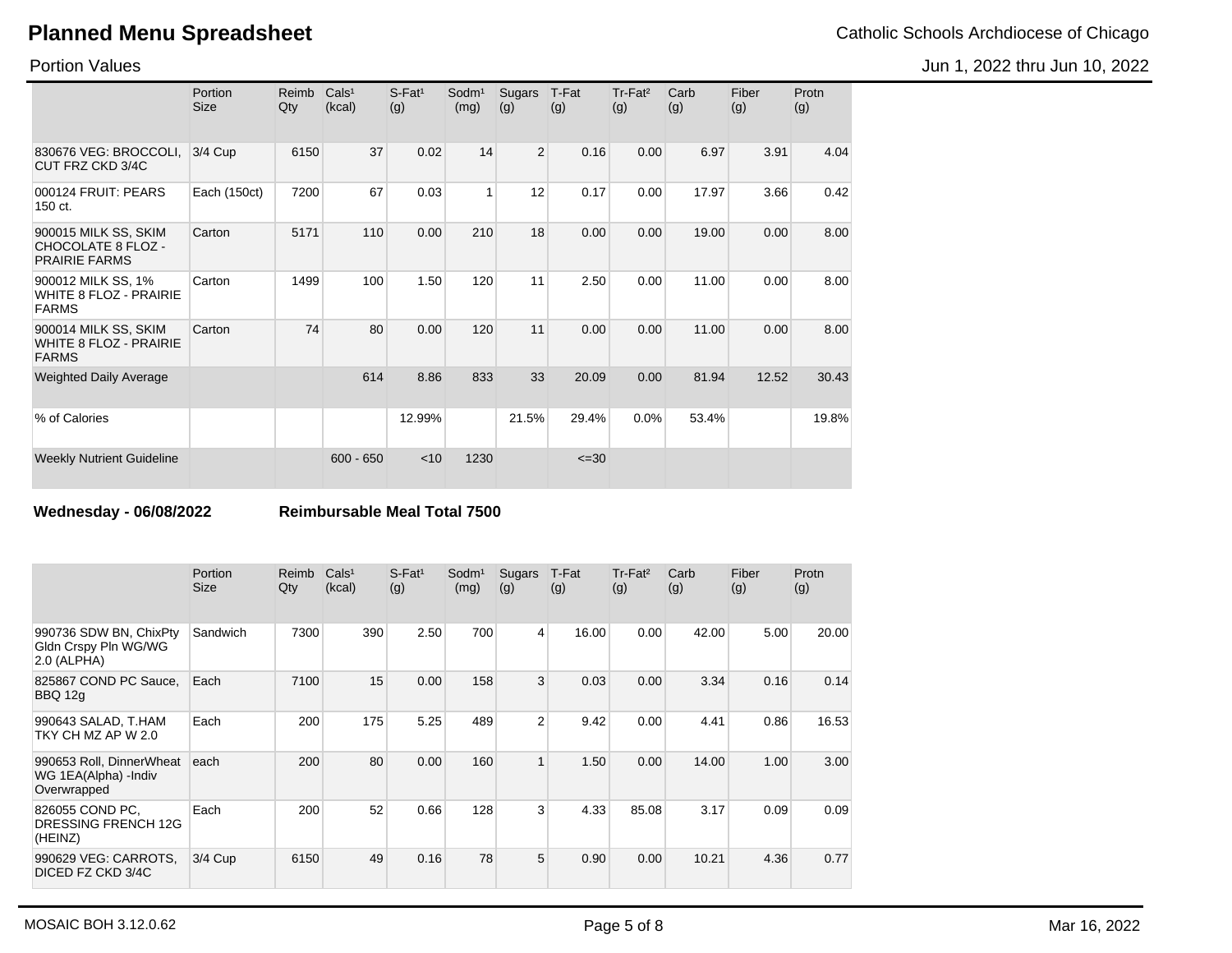Jun 1, 2022 thru Jun 10, 2022

Portion Values

|                                                                       | Portion<br><b>Size</b> | Reimb<br>Qty | Cals <sup>1</sup><br>(kcal) | $S$ -Fat <sup>1</sup><br>(g) | Sodm <sup>1</sup><br>(mg) | Sugars<br>(g)  | T-Fat<br>(g) | Tr-Fat <sup>2</sup><br>(g) | Carb<br>(g) | Fiber<br>(g) | Protn<br>(g) |
|-----------------------------------------------------------------------|------------------------|--------------|-----------------------------|------------------------------|---------------------------|----------------|--------------|----------------------------|-------------|--------------|--------------|
| 830676 VEG: BROCCOLI,<br>CUT FRZ CKD 3/4C                             | 3/4 Cup                | 6150         | 37                          | 0.02                         | 14                        | $\overline{2}$ | 0.16         | 0.00                       | 6.97        | 3.91         | 4.04         |
| 000124 FRUIT: PEARS<br>150 ct.                                        | Each (150ct)           | 7200         | 67                          | 0.03                         | 1                         | 12             | 0.17         | 0.00                       | 17.97       | 3.66         | 0.42         |
| 900015 MILK SS, SKIM<br>CHOCOLATE 8 FLOZ -<br><b>PRAIRIE FARMS</b>    | Carton                 | 5171         | 110                         | 0.00                         | 210                       | 18             | 0.00         | 0.00                       | 19.00       | 0.00         | 8.00         |
| 900012 MILK SS, 1%<br>WHITE 8 FLOZ - PRAIRIE<br><b>FARMS</b>          | Carton                 | 1499         | 100                         | 1.50                         | 120                       | 11             | 2.50         | 0.00                       | 11.00       | 0.00         | 8.00         |
| 900014 MILK SS, SKIM<br><b>WHITE 8 FLOZ - PRAIRIE</b><br><b>FARMS</b> | Carton                 | 74           | 80                          | 0.00                         | 120                       | 11             | 0.00         | 0.00                       | 11.00       | 0.00         | 8.00         |
| <b>Weighted Daily Average</b>                                         |                        |              | 614                         | 8.86                         | 833                       | 33             | 20.09        | 0.00                       | 81.94       | 12.52        | 30.43        |
| % of Calories                                                         |                        |              |                             | 12.99%                       |                           | 21.5%          | 29.4%        | 0.0%                       | 53.4%       |              | 19.8%        |
| <b>Weekly Nutrient Guideline</b>                                      |                        |              | $600 - 650$                 | $<$ 10                       | 1230                      |                | $\leq 30$    |                            |             |              |              |

**Wednesday - 06/08/2022 Reimbursable Meal Total 7500**

|                                                                 | Portion<br><b>Size</b> | Reimb<br>Qty | Cals <sup>1</sup><br>(kcal) | $S$ -Fat <sup>1</sup><br>(g) | Sodm <sup>1</sup><br>(mg) | Sugars<br>(g)  | T-Fat<br>(g) | Tr-Fat <sup>2</sup><br>(g) | Carb<br>(g) | Fiber<br>(g) | Protn<br>(g) |
|-----------------------------------------------------------------|------------------------|--------------|-----------------------------|------------------------------|---------------------------|----------------|--------------|----------------------------|-------------|--------------|--------------|
| 990736 SDW BN, ChixPty<br>Gldn Crspy Pln WG/WG<br>2.0 (ALPHA)   | Sandwich               | 7300         | 390                         | 2.50                         | 700                       | $\overline{4}$ | 16.00        | 0.00                       | 42.00       | 5.00         | 20.00        |
| 825867 COND PC Sauce,<br>BBQ 12g                                | Each                   | 7100         | 15                          | 0.00                         | 158                       | 3              | 0.03         | 0.00                       | 3.34        | 0.16         | 0.14         |
| 990643 SALAD, T.HAM<br>TKY CH MZ AP W 2.0                       | Each                   | 200          | 175                         | 5.25                         | 489                       | $\overline{2}$ | 9.42         | 0.00                       | 4.41        | 0.86         | 16.53        |
| 990653 Roll, DinnerWheat<br>WG 1EA(Alpha) -Indiv<br>Overwrapped | each                   | 200          | 80                          | 0.00                         | 160                       | $\mathbf{1}$   | 1.50         | 0.00                       | 14.00       | 1.00         | 3.00         |
| 826055 COND PC.<br>DRESSING FRENCH 12G<br>(HEINZ)               | Each                   | 200          | 52                          | 0.66                         | 128                       | $\overline{3}$ | 4.33         | 85.08                      | 3.17        | 0.09         | 0.09         |
| 990629 VEG: CARROTS,<br>DICED FZ CKD 3/4C                       | $3/4$ Cup              | 6150         | 49                          | 0.16                         | 78                        | 5              | 0.90         | 0.00                       | 10.21       | 4.36         | 0.77         |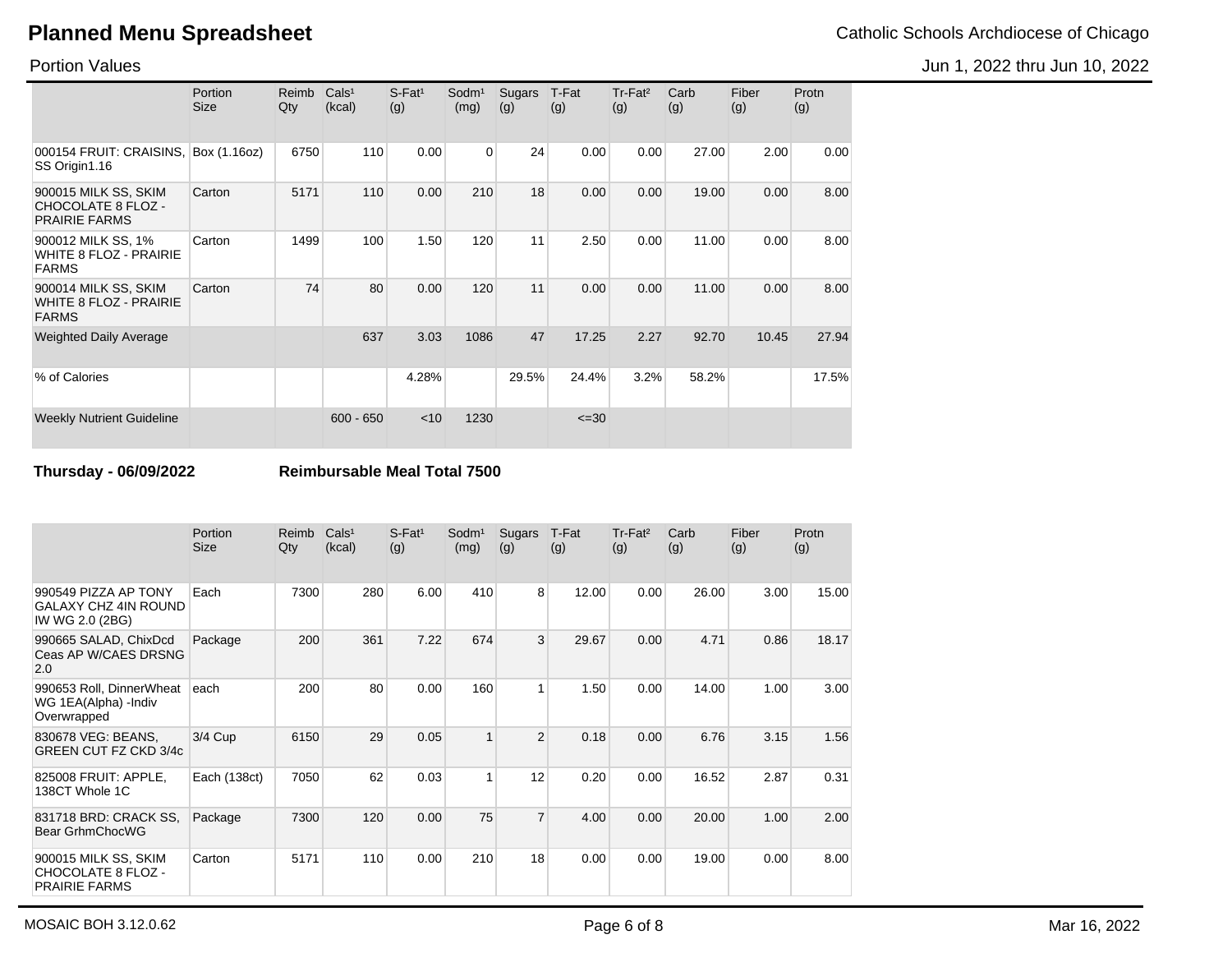Jun 1, 2022 thru Jun 10, 2022

Portion Values

|                                                                       | Portion<br><b>Size</b> | Reimb<br>Qty | Cals <sup>1</sup><br>(kcal) | $S$ -Fat <sup>1</sup><br>(g) | Sodm <sup>1</sup><br>(mg) | Sugars<br>(g) | T-Fat<br>(g) | Tr-Fat <sup>2</sup><br>(g) | Carb<br>(g) | Fiber<br>(g) | Protn<br>(g) |
|-----------------------------------------------------------------------|------------------------|--------------|-----------------------------|------------------------------|---------------------------|---------------|--------------|----------------------------|-------------|--------------|--------------|
| 000154 FRUIT: CRAISINS,<br>SS Origin1.16                              | Box (1.16oz)           | 6750         | 110                         | 0.00                         | 0                         | 24            | 0.00         | 0.00                       | 27.00       | 2.00         | 0.00         |
| 900015 MILK SS, SKIM<br>CHOCOLATE 8 FLOZ -<br><b>PRAIRIE FARMS</b>    | Carton                 | 5171         | 110                         | 0.00                         | 210                       | 18            | 0.00         | 0.00                       | 19.00       | 0.00         | 8.00         |
| 900012 MILK SS, 1%<br><b>WHITE 8 FLOZ - PRAIRIE</b><br><b>FARMS</b>   | Carton                 | 1499         | 100                         | 1.50                         | 120                       | 11            | 2.50         | 0.00                       | 11.00       | 0.00         | 8.00         |
| 900014 MILK SS, SKIM<br><b>WHITE 8 FLOZ - PRAIRIE</b><br><b>FARMS</b> | Carton                 | 74           | 80                          | 0.00                         | 120                       | 11            | 0.00         | 0.00                       | 11.00       | 0.00         | 8.00         |
| <b>Weighted Daily Average</b>                                         |                        |              | 637                         | 3.03                         | 1086                      | 47            | 17.25        | 2.27                       | 92.70       | 10.45        | 27.94        |
| % of Calories                                                         |                        |              |                             | 4.28%                        |                           | 29.5%         | 24.4%        | 3.2%                       | 58.2%       |              | 17.5%        |
| <b>Weekly Nutrient Guideline</b>                                      |                        |              | $600 - 650$                 | < 10                         | 1230                      |               | $\leq 30$    |                            |             |              |              |

**Thursday - 06/09/2022 Reimbursable Meal Total 7500**

|                                                                        | Portion<br><b>Size</b> | Reimb<br>Qty | Cals <sup>1</sup><br>(kcal) | $S$ -Fat <sup>1</sup><br>(g) | Sodm <sup>1</sup><br>(mg) | Sugars<br>(g)  | T-Fat<br>(g) | $Tr-Fat2$<br>(g) | Carb<br>(g) | Fiber<br>(g) | Protn<br>(g) |
|------------------------------------------------------------------------|------------------------|--------------|-----------------------------|------------------------------|---------------------------|----------------|--------------|------------------|-------------|--------------|--------------|
| 990549 PIZZA AP TONY<br><b>GALAXY CHZ 4IN ROUND</b><br>IW WG 2.0 (2BG) | Each                   | 7300         | 280                         | 6.00                         | 410                       | 8              | 12.00        | 0.00             | 26.00       | 3.00         | 15.00        |
| 990665 SALAD, ChixDcd<br>Ceas AP W/CAES DRSNG<br>2.0                   | Package                | 200          | 361                         | 7.22                         | 674                       | 3              | 29.67        | 0.00             | 4.71        | 0.86         | 18.17        |
| 990653 Roll, DinnerWheat<br>WG 1EA(Alpha) - Indiv<br>Overwrapped       | each                   | 200          | 80                          | 0.00                         | 160                       | 1              | 1.50         | 0.00             | 14.00       | 1.00         | 3.00         |
| 830678 VEG: BEANS,<br><b>GREEN CUT FZ CKD 3/4c</b>                     | $3/4$ Cup              | 6150         | 29                          | 0.05                         | 1                         | $\overline{2}$ | 0.18         | 0.00             | 6.76        | 3.15         | 1.56         |
| 825008 FRUIT: APPLE,<br>138CT Whole 1C                                 | Each (138ct)           | 7050         | 62                          | 0.03                         | 1                         | 12             | 0.20         | 0.00             | 16.52       | 2.87         | 0.31         |
| 831718 BRD: CRACK SS.<br>Bear GrhmChocWG                               | Package                | 7300         | 120                         | 0.00                         | 75                        | $\overline{7}$ | 4.00         | 0.00             | 20.00       | 1.00         | 2.00         |
| 900015 MILK SS, SKIM<br>CHOCOLATE 8 FLOZ -<br><b>PRAIRIE FARMS</b>     | Carton                 | 5171         | 110                         | 0.00                         | 210                       | 18             | 0.00         | 0.00             | 19.00       | 0.00         | 8.00         |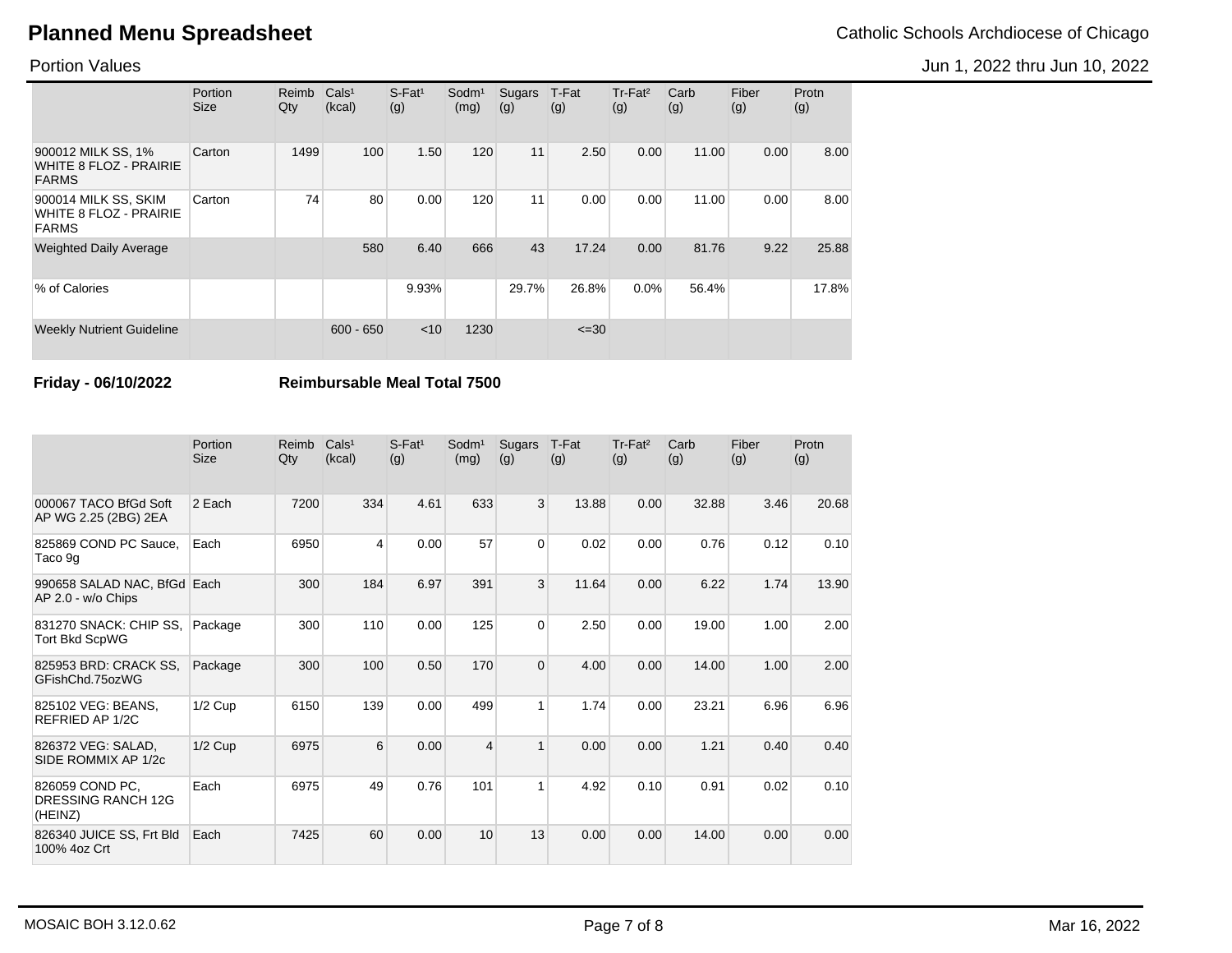Portion Values

|                                                                       | Portion<br><b>Size</b> | Reimb<br>Qty | Cals <sup>1</sup><br>(kcal) | $S$ -Fat <sup>1</sup><br>(g) | Sodm <sup>1</sup><br>(mg) | <b>Sugars</b><br>(g) | T-Fat<br>(g) | Tr-Fat <sup>2</sup><br>(g) | Carb<br>(g) | Fiber<br>(g) | Protn<br>(g) |
|-----------------------------------------------------------------------|------------------------|--------------|-----------------------------|------------------------------|---------------------------|----------------------|--------------|----------------------------|-------------|--------------|--------------|
| 900012 MILK SS, 1%<br><b>WHITE 8 FLOZ - PRAIRIE</b><br><b>FARMS</b>   | Carton                 | 1499         | 100                         | 1.50                         | 120                       | 11                   | 2.50         | 0.00                       | 11.00       | 0.00         | 8.00         |
| 900014 MILK SS, SKIM<br><b>WHITE 8 FLOZ - PRAIRIE</b><br><b>FARMS</b> | Carton                 | 74           | 80                          | 0.00                         | 120                       | 11                   | 0.00         | 0.00                       | 11.00       | 0.00         | 8.00         |
| <b>Weighted Daily Average</b>                                         |                        |              | 580                         | 6.40                         | 666                       | 43                   | 17.24        | 0.00                       | 81.76       | 9.22         | 25.88        |
| % of Calories                                                         |                        |              |                             | 9.93%                        |                           | 29.7%                | 26.8%        | 0.0%                       | 56.4%       |              | 17.8%        |
| <b>Weekly Nutrient Guideline</b>                                      |                        |              | $600 - 650$                 | < 10                         | 1230                      |                      | $\leq 30$    |                            |             |              |              |

**Friday - 06/10/2022 Reimbursable Meal Total 7500**

|                                                   | Portion<br><b>Size</b> | Reimb<br>Qty | Cals <sup>1</sup><br>(kcal) | $S$ -Fat <sup>1</sup><br>(g) | Sodm <sup>1</sup><br>(mg) | Sugars<br>(g)  | T-Fat<br>(g) | Tr-Fat <sup>2</sup><br>(g) | Carb<br>(g) | Fiber<br>(g) | Protn<br>(g) |
|---------------------------------------------------|------------------------|--------------|-----------------------------|------------------------------|---------------------------|----------------|--------------|----------------------------|-------------|--------------|--------------|
| 000067 TACO BfGd Soft<br>AP WG 2.25 (2BG) 2EA     | 2 Each                 | 7200         | 334                         | 4.61                         | 633                       | 3              | 13.88        | 0.00                       | 32.88       | 3.46         | 20.68        |
| 825869 COND PC Sauce.<br>Taco 9g                  | Each                   | 6950         | 4                           | 0.00                         | 57                        | $\Omega$       | 0.02         | 0.00                       | 0.76        | 0.12         | 0.10         |
| 990658 SALAD NAC, BfGd Each<br>AP 2.0 - w/o Chips |                        | 300          | 184                         | 6.97                         | 391                       | 3              | 11.64        | 0.00                       | 6.22        | 1.74         | 13.90        |
| 831270 SNACK: CHIP SS,<br><b>Tort Bkd ScpWG</b>   | Package                | 300          | 110                         | 0.00                         | 125                       | $\overline{0}$ | 2.50         | 0.00                       | 19.00       | 1.00         | 2.00         |
| 825953 BRD: CRACK SS,<br>GFishChd.75ozWG          | Package                | 300          | 100                         | 0.50                         | 170                       | $\Omega$       | 4.00         | 0.00                       | 14.00       | 1.00         | 2.00         |
| 825102 VEG: BEANS.<br>REFRIED AP 1/2C             | $1/2$ Cup              | 6150         | 139                         | 0.00                         | 499                       | 1              | 1.74         | 0.00                       | 23.21       | 6.96         | 6.96         |
| 826372 VEG: SALAD.<br>SIDE ROMMIX AP 1/2c         | $1/2$ Cup              | 6975         | 6                           | 0.00                         | $\overline{\mathbf{4}}$   | $\mathbf{1}$   | 0.00         | 0.00                       | 1.21        | 0.40         | 0.40         |
| 826059 COND PC.<br>DRESSING RANCH 12G<br>(HEINZ)  | Each                   | 6975         | 49                          | 0.76                         | 101                       | 1              | 4.92         | 0.10                       | 0.91        | 0.02         | 0.10         |
| 826340 JUICE SS, Frt Bld<br>100% 4oz Crt          | Each                   | 7425         | 60                          | 0.00                         | 10                        | 13             | 0.00         | 0.00                       | 14.00       | 0.00         | 0.00         |